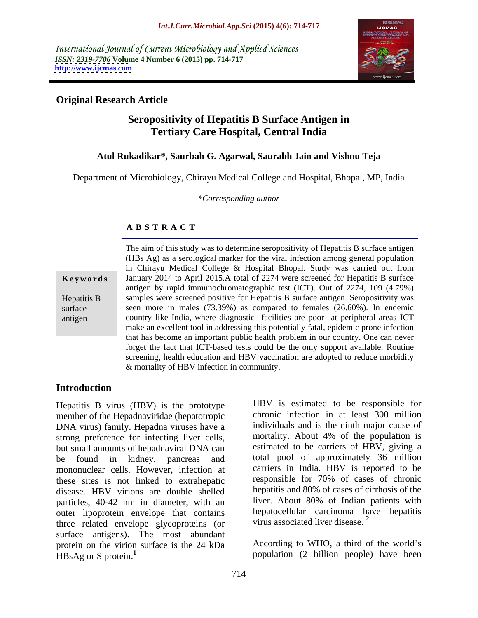International Journal of Current Microbiology and Applied Sciences *ISSN: 2319-7706* **Volume 4 Number 6 (2015) pp. 714-717 <http://www.ijcmas.com>**



# **Original Research Article**

# **Seropositivity of Hepatitis B Surface Antigen in Tertiary Care Hospital, Central India**

# **Atul Rukadikar\*, Saurbah G. Agarwal, Saurabh Jain and Vishnu Teja**

Department of Microbiology, Chirayu Medical College and Hospital, Bhopal, MP, India

*\*Corresponding author*

# **A B S T R A C T**

antigen

The aim of this study was to determine seropositivity of Hepatitis B surface antigen (HBs Ag) as a serological marker for the viral infection among general population in Chirayu Medical College & Hospital Bhopal. Study was carried out from January 2014 to April 2015.A total of 2274 were screened for Hepatitis B surface **Ke ywo rds** antigen by rapid immunochromatographic test (ICT). Out of 2274, 109 (4.79%) samples were screened positive for Hepatitis B surface antigen. Seropositivity was Hepatitis B surface seen more in males (73.39%) as compared to females (26.60%). In endemic country like India, where diagnostic facilities are poor at peripheral areas ICT make an excellent tool in addressing this potentially fatal, epidemic prone infection that has become an important public health problem in our country. One can never forget the fact that ICT-based tests could be the only support available. Routine screening, health education and HBV vaccination are adopted to reduce morbidity & mortality of HBV infection in community.

### **Introduction**

Hepatitis B virus (HBV) is the prototype member of the Hepadnaviridae (hepatotropic DNA virus) family. Hepadna viruses have a strong preference for infecting liver cells, but small amounts of hepadnaviral DNA can be found in kidney, pancreas and total pool of approximately 36 million mononuclear cells. However, infection at these sites is not linked to extrahepatic disease. HBV virions are double shelled particles, 40-42 nm in diameter, with an outer lipoprotein envelope that contains bepatocellular carcinoma has three related envelope glycoproteins (or virus associated liver disease.<sup>2</sup> three related envelope glycoproteins (or surface antigens). The most abundant protein on the virion surface is the 24 kDa HBsAg or S protein.**<sup>1</sup>** population (2 billion people) have been

HBV is estimated to be responsible for chronic infection in at least 300 million individuals and is the ninth major cause of mortality. About 4% of the population is estimated to be carriers of HBV, giving a carriers in India. HBV is reported to be responsible for 70% of cases of chronic hepatitis and 80% of cases of cirrhosis of the liver. About 80% of Indian patients with hepatocellular carcinoma have hepatitis virus associated liver disease. **<sup>2</sup>**

According to WHO, a third of the world's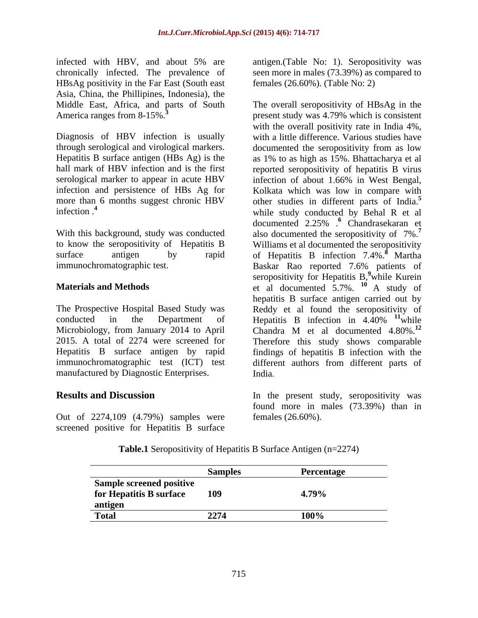infected with HBV, and about 5% are chronically infected. The prevalence of seen more in males (73.39%) as compared to HBsAg positivity in the Far East (South east Asia, China, the Phillipines, Indonesia), the

manufactured by Diagnostic Enterprises. India.

Out of 2274,109 (4.79%) samples were screened positive for Hepatitis B surface

antigen.(Table No: 1). Seropositivity was females (26.60%). (Table No: 2)

Middle East, Africa, and parts of South The overall seropositivity of HBsAg in the America ranges from 8-15%<sup>3</sup> present study was 4.79% which is consistent Diagnosis of HBV infection is usually with a little difference. Various studies have through serological and virological markers. documented the seropositivity from as low Hepatitis B surface antigen (HBs Ag) is the as 1% to as high as 15%. Bhattacharya et al hall mark of HBV infection and is the first reported seropositivity of hepatitis B virus serological marker to appear in acute HBV infection of about 1.66% in West Bengal, infection and persistence of HBs Ag for Kolkata which was low in comparewith more than 6 months suggest chronic HBV other studies in different parts of India.<sup>5</sup> infection .<sup>4</sup> while study conducted by Behal R et al With this background, study was conducted also documented the seropositivity of 7%.**<sup>7</sup>** to know the seropositivity of Hepatitis B Williams et al documented the seropositivity surface antigen by rapid of Hepatitis B infection 7.4%.**<sup>8</sup>** Martha immunochromatographic test. Baskar Rao reported 7.6% patients of **Materials and Methods et al documented 5.7%.** <sup>10</sup> A study of The Prospective Hospital Based Study was Reddy et al found the seropositivity of conducted in the Department of Hepatitis B infection in 4.40% <sup>11</sup> while Microbiology, from January 2014 to April Chandra M et al documented 4.80%.**<sup>12</sup>** 2015. A total of 2274 were screened for Therefore this study shows comparable Hepatitis B surface antigen by rapid findings of hepatitis B infection with the immunochromatographic test (ICT) test different authors from different parts of with the overall positivity rate in India 4%, documented 2.25% .**<sup>6</sup>** Chandrasekaran et seropositivity for Hepatitis B,<sup>9</sup>while Kurein while Kurein hepatitis B surface antigen carried out by **<sup>11</sup>**while India.

**Results and Discussion In the present study, seropositivity was** found more in males (73.39%) than in females (26.60%).

**Table.1** Seropositivity of Hepatitis B Surface Antigen (n=2274)

| <b>Sample screened positive</b> |     |     |
|---------------------------------|-----|-----|
| for Hepatitis B surface         | 109 | .   |
| antigen                         |     |     |
| Total                           |     | 100 |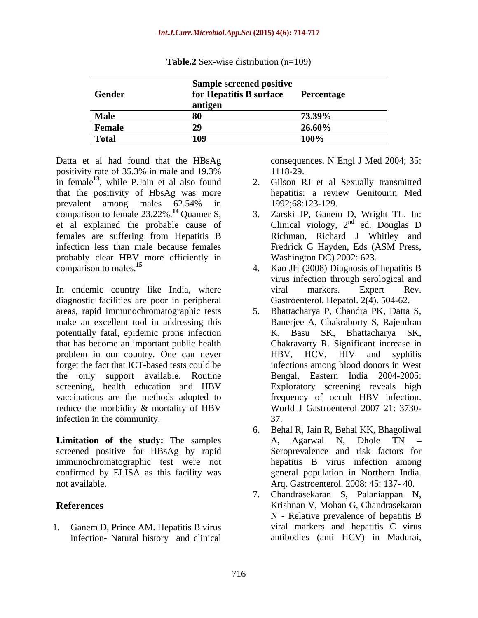| Gender      | <b>Sample screened positive</b><br>for Hepatitis B surface Percentage |                                                                                                                                                                                                                                                                                                                                                                                                                                                                                            |
|-------------|-----------------------------------------------------------------------|--------------------------------------------------------------------------------------------------------------------------------------------------------------------------------------------------------------------------------------------------------------------------------------------------------------------------------------------------------------------------------------------------------------------------------------------------------------------------------------------|
|             |                                                                       | $\blacksquare$ $\blacksquare$ $\blacksquare$ $\blacksquare$ $\blacksquare$ $\blacksquare$ $\blacksquare$ $\blacksquare$ $\blacksquare$ $\blacksquare$ $\blacksquare$ $\blacksquare$ $\blacksquare$ $\blacksquare$ $\blacksquare$ $\blacksquare$ $\blacksquare$ $\blacksquare$ $\blacksquare$ $\blacksquare$ $\blacksquare$ $\blacksquare$ $\blacksquare$ $\blacksquare$ $\blacksquare$ $\blacksquare$ $\blacksquare$ $\blacksquare$ $\blacksquare$ $\blacksquare$ $\blacksquare$ $\blacks$ |
| <b>Male</b> |                                                                       |                                                                                                                                                                                                                                                                                                                                                                                                                                                                                            |
| Female      |                                                                       |                                                                                                                                                                                                                                                                                                                                                                                                                                                                                            |
| 1 otal      | 100                                                                   | $\left( \frac{1}{2} \right)$                                                                                                                                                                                                                                                                                                                                                                                                                                                               |

**Table.2** Sex-wise distribution (n=109)

Datta et al had found that the HBsAg positivity rate of 35.3% in male and 19.3% in female<sup>13</sup>, while P. Jain et al also found  $\overline{a}$ . that the positivity of HbsAg was more comparison to female  $23.22\%$ .<sup>14</sup> Quamer S, 3.<br>et al explained the probable cause of females are suffering from Hepatitis B infection less than male because females Fredrick G Hayden, Eds (ASM Press, probably clear HBV more efficiently in comparison to males.<sup>15</sup>

In endemic country like India, where viral markers. Expert Rev. diagnostic facilities are poor in peripheral areas, rapid immunochromatographic tests make an excellent tool in addressing this potentially fatal, epidemic prone infection that has become an important public health forget the fact that ICT-based tests could be the only support available. Routine screening, health education and HBV vaccinations are the methods adopted to reduce the morbidity & mortality of HBV infection in the community. 37.

screened positive for HBsAg by rapid immunochromatographic test were not confirmed by ELISA as this facility was

1. Ganem D, Prince AM. Hepatitis B virus infection- Natural history and clinical

consequences. N Engl J Med 2004; 35: 1118-29.

- , while P.Jain et al also found 2. Gilson RJ et al Sexually transmitted prevalent among males 62.54% in hepatitis: a review Genitourin Med 1992;68:123-129.
- et al explained the probable cause of  $\Box$  Clinical viology,  $2^{nd}$  ed. Douglas D Zarski JP, Ganem D, Wright TL. In:  $n d$   $\alpha d$   $\beta$   $\alpha$ ed. Douglas D Richman, Richard J Whitley and Fredrick G Hayden, Eds (ASM Press, Washington DC) 2002: 623.
- comparison to males.**<sup>15</sup>** 4. Kao JH (2008) Diagnosis of hepatitis B virus infection through serological and viral markers. Expert Rev. Gastroenterol. Hepatol. 2(4). 504-62.
- problem in our country. One can never **HBV**, HCV, HIV and syphilis 5. Bhattacharya P, Chandra PK, Datta S, Banerjee A, Chakraborty S, Rajendran K, Basu SK, Bhattacharya SK, Chakravarty R. Significant increase in HBV, HCV, HIV and syphilis infections among blood donors in West Bengal, Eastern India 2004-2005: Exploratory screening reveals high frequency of occult HBV infection. World J Gastroenterol 2007 21: 3730- 37.
- **Limitation of the study:** The samples A, Agarwal N, Dhole TN not available. Arq. Gastroenterol. 2008: 45: 137- 40. 6. Behal R, Jain R, Behal KK, Bhagoliwal A, Agarwal N, Dhole TN Seroprevalence and risk factors for hepatitis B virus infection among general population in Northern India.
- **References** Krishnan V, Mohan G, Chandrasekaran 7. Chandrasekaran S, Palaniappan N, N - Relative prevalence of hepatitis B viral markers and hepatitis C virus antibodies (anti HCV) in Madurai,